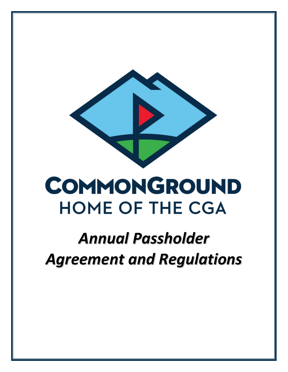

# **COMMONGROUND HOME OF THE CGA**

# *Annual Passholder Agreement and Regulations*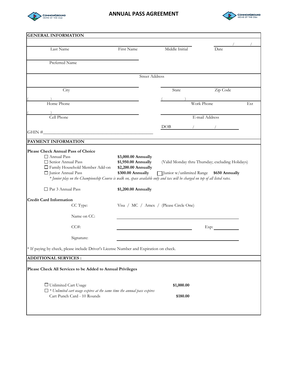

# **ANNUAL PASS AGREEMENT**



| <b>GENERAL INFORMATION</b>                 |                                                                                                                                                                   |                                                                                        |                                        |                                                                                             |     |
|--------------------------------------------|-------------------------------------------------------------------------------------------------------------------------------------------------------------------|----------------------------------------------------------------------------------------|----------------------------------------|---------------------------------------------------------------------------------------------|-----|
|                                            |                                                                                                                                                                   |                                                                                        |                                        |                                                                                             |     |
| Last Name                                  |                                                                                                                                                                   | First Name                                                                             | Middle Initial                         | Date                                                                                        |     |
| Preferred Name                             |                                                                                                                                                                   |                                                                                        |                                        |                                                                                             |     |
|                                            |                                                                                                                                                                   |                                                                                        |                                        |                                                                                             |     |
|                                            |                                                                                                                                                                   |                                                                                        | <b>Street Address</b>                  |                                                                                             |     |
|                                            | City                                                                                                                                                              |                                                                                        | State                                  | Zip Code                                                                                    |     |
|                                            |                                                                                                                                                                   |                                                                                        |                                        |                                                                                             |     |
| Home Phone                                 |                                                                                                                                                                   |                                                                                        |                                        | Work Phone                                                                                  | Ext |
|                                            |                                                                                                                                                                   |                                                                                        |                                        |                                                                                             |     |
| Cell Phone                                 |                                                                                                                                                                   |                                                                                        |                                        | E-mail Address                                                                              |     |
|                                            |                                                                                                                                                                   |                                                                                        | DOB                                    | $\mathcal{L}$ and $\mathcal{L}$                                                             |     |
|                                            | $GHIN \#$                                                                                                                                                         |                                                                                        |                                        |                                                                                             |     |
| PAYMENT INFORMATION                        |                                                                                                                                                                   |                                                                                        |                                        |                                                                                             |     |
| Senior Annual Pass<br>□ Junior Annual Pass | □ Family Household Member Add-on<br>* Junior play on the Championship Course is walk on, space available only and tax will be charged on top of all listed rates. | \$3,000.00 Annually<br>\$1,950.00 Annually<br>\$2,200.00 Annually<br>\$300.00 Annually |                                        | (Valid Monday thru Thursday; excluding Holidays)<br>Junior w/unlimited Range \$650 Annually |     |
| Par 3 Annual Pass                          |                                                                                                                                                                   | \$1,200.00 Annually                                                                    |                                        |                                                                                             |     |
| <b>Credit Card Information</b>             |                                                                                                                                                                   |                                                                                        |                                        |                                                                                             |     |
|                                            | CC Type:                                                                                                                                                          |                                                                                        | Visa / MC / Amex / (Please Circle One) |                                                                                             |     |
|                                            | Name on CC:                                                                                                                                                       |                                                                                        |                                        |                                                                                             |     |
|                                            | CCE:                                                                                                                                                              |                                                                                        |                                        | Exp:                                                                                        |     |
|                                            | Signature:                                                                                                                                                        |                                                                                        |                                        |                                                                                             |     |
|                                            | * If paying by check, please include Driver's License Number and Expiration on check.                                                                             |                                                                                        |                                        |                                                                                             |     |
| <b>ADDITIONAL SERVICES:</b>                |                                                                                                                                                                   |                                                                                        |                                        |                                                                                             |     |
|                                            |                                                                                                                                                                   |                                                                                        |                                        |                                                                                             |     |
|                                            | Please Check All Services to be Added to Annual Privileges                                                                                                        |                                                                                        |                                        |                                                                                             |     |
|                                            | □ Unlimited Cart Usage                                                                                                                                            | $\Box$ * Unlimited cart usage expires at the same time the annual pass expires         | \$1,000.00                             |                                                                                             |     |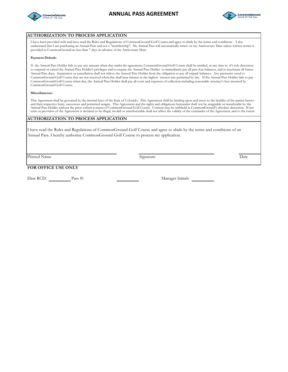



| <b>AUTHORIZATION TO PROCESS APPLICATION</b>                                                                                                                                                                                                                                                                                                                                                                                                                                                                                                                                                                                                                                                                                                                                                                                                                           |           |      |  |  |  |  |
|-----------------------------------------------------------------------------------------------------------------------------------------------------------------------------------------------------------------------------------------------------------------------------------------------------------------------------------------------------------------------------------------------------------------------------------------------------------------------------------------------------------------------------------------------------------------------------------------------------------------------------------------------------------------------------------------------------------------------------------------------------------------------------------------------------------------------------------------------------------------------|-----------|------|--|--|--|--|
| I have been provided with and have read the Rules and Regulations of CommonGround Golf Course and agree to abide by the terms and conditions. I also<br>understand that I am purchasing an Annual Pass and not a "membership". My Annual Pass will automatically renew on my Anniversary Date unless written notice is<br>provided to CommonGround no less than 7 days in advance of my Anniversary Date.                                                                                                                                                                                                                                                                                                                                                                                                                                                             |           |      |  |  |  |  |
| Payment Default:                                                                                                                                                                                                                                                                                                                                                                                                                                                                                                                                                                                                                                                                                                                                                                                                                                                      |           |      |  |  |  |  |
| If the Annual Pass Holder fails to pay any amount when due under the agreement, CommonGround Golf Course shall be entitled, at any time in it's sole discretion<br>to suspend or cancel the Annual Pass Holder's privileges and to require the Annual Pass Holder to immediately pay all past due balances, and to accelerate all future<br>Annual Pass dues. Suspension or cancellation shall not relieve the Annual Pass Holder from the obligation to pay all unpaid balances. Any payments owed to<br>CommonGround Golf Course that are not received when due shall bear interest at the highest interest rate permitted by law. If the Annual Pass Holder fails to pay<br>CommonGround Golf Course when due, the Annual Pass Holder shall pay all costs and expenses of collection including reasonable attorney's fees incurred by<br>CommonGround Golf Course. |           |      |  |  |  |  |
| Miscellaneous:                                                                                                                                                                                                                                                                                                                                                                                                                                                                                                                                                                                                                                                                                                                                                                                                                                                        |           |      |  |  |  |  |
| This Agreement shall be governed by the internal laws of the State of Colorado. This Agreement shall be binding upon and inure to the benifits of the parties hereto<br>and their respective heirs, successors and permitted assigns. This Agreement and the rights and obligations hereunder shall not be assignable or transferable by the<br>Annual Pass Holder without the prior written consent of CommonGround Golf Course. Consent may be withheld in CommonGround's absolute discretion. If any<br>term or provision of the Agreement is declared to be illegal, invalid or unenforceable shall not affect the validity of the remainder of the Agreement, and to the extent                                                                                                                                                                                  |           |      |  |  |  |  |
| <b>AUTHORIZATION TO PROCESS APPLICATION</b>                                                                                                                                                                                                                                                                                                                                                                                                                                                                                                                                                                                                                                                                                                                                                                                                                           |           |      |  |  |  |  |
| I have read the Rules and Regulations of CommonGround Golf Course and agree to abide by the terms and conditions of an<br>Annual Pass. I hereby authorize CommonGround Golf Course to process my application.                                                                                                                                                                                                                                                                                                                                                                                                                                                                                                                                                                                                                                                         |           |      |  |  |  |  |
| Printed Name                                                                                                                                                                                                                                                                                                                                                                                                                                                                                                                                                                                                                                                                                                                                                                                                                                                          | Signature | Date |  |  |  |  |
| FOR OFFICE USE ONLY                                                                                                                                                                                                                                                                                                                                                                                                                                                                                                                                                                                                                                                                                                                                                                                                                                                   |           |      |  |  |  |  |

Date RCD: Pass #: Pass #: Manager Initials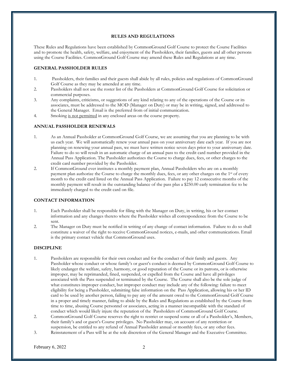## **RULES AND REGULATIONS**

These Rules and Regulations have been established by CommonGround Golf Course to protect the Course Facilities and to promote the health, safety, welfare, and enjoyment of the Passholders, their families, guests and all other persons using the Course Facilities. CommonGround Golf Course may amend these Rules and Regulations at any time.

### **GENERAL PASSHOLDER RULES**

- 1. Passholders, their families and their guests shall abide by all rules, policies and regulations of CommonGround Golf Course as they may be amended at any time.
- 2. Passholders shall not use the roster list of the Passholders at CommonGround Golf Course for solicitation or commercial purposes.
- 3. Any complaints, criticisms, or suggestions of any kind relating to any of the operations of the Course or its associates, must be addressed to the MOD (Manager on Duty) or may be in writing, signed, and addressed to the General Manager. Email is the preferred from of initial communication.
- 4. Smoking is not permitted in any enclosed areas on the course property.

#### **ANNUAL PASSHOLDER RENEWALS**

- 1. As an Annual Passholder at CommonGround Golf Course, we are assuming that you are planning to be with us each year. We will automatically renew your annual pass on your anniversary date each year. If you are not planning on renewing your annual pass, we must have written notice seven days prior to your anniversary date. Failure to do so will result in an automatic charge of an annual pass to the credit card number provided in the Annual Pass Application. The Passholder authorizes the Course to charge dues, fees, or other charges to the credit card number provided by the Passholder.
- 2. If CommonGround ever institutes a monthly payment plan, Annual Passholders who are on a monthly payment plan authorize the Course to charge the monthly dues, fees, or any other charges on the 1st of every month to the credit card listed on the Annual Pass Application. Failure to pay 12 consecutive months of the monthly payment will result in the outstanding balance of the pass plus a \$250.00 early termination fee to be immediately charged to the credit card on file.

# **CONTACT INFORMATION**

- 1. Each Passholder shall be responsible for filing with the Manager on Duty, in writing, his or her contact information and any changes thereto where the Passholder wishes all correspondence from the Course to be sent.
- 2. The Manager on Duty must be notified in writing of any change of contact information. Failure to do so shall constitute a waiver of the right to receive CommonGround notices, e-mails, and other communications. Email is the primary contact vehicle that CommonGround uses.

# **DISCIPLINE**

- 1. Passholders are responsible for their own conduct and for the conduct of their family and guests. Any Passholder whose conduct or whose family's or guest's conduct is deemed by CommonGround Golf Course to likely endanger the welfare, safety, harmony, or good reputation of the Course or its patrons, or is otherwise improper, may be reprimanded, fined, suspended, or expelled from the Course and have all privileges associated with the Pass suspended or terminated by the Course. The Course shall also be the sole judge of what constitutes improper conduct, but improper conduct may include any of the following: failure to meet eligibility for being a Passholder, submitting false information on the Pass Application, allowing his or her ID card to be used by another person, failing to pay any of the amount owed to the CommonGround Golf Course in a proper and timely manner, failing to abide by the Rules and Regulations as established by the Course from time to time, abusing Course personnel or associates, acting in a manner incompatible with the standard of conduct which would likely injure the reputation of the Passholders of CommonGround Golf Course.
- 2. CommonGround Golf Course reserves the right to restrict or suspend some or all of a Passholder's, Members, their family's and or guest's Course privileges. No Passholder may, on account of any restriction or suspension, be entitled to any refund of Annual Passholder annual or monthly fees, or any other fees.
- 3. Reinstatement of a Pass will be at the sole discretion of the General Manager and the Executive Committee.

February  $6, 2022$  2